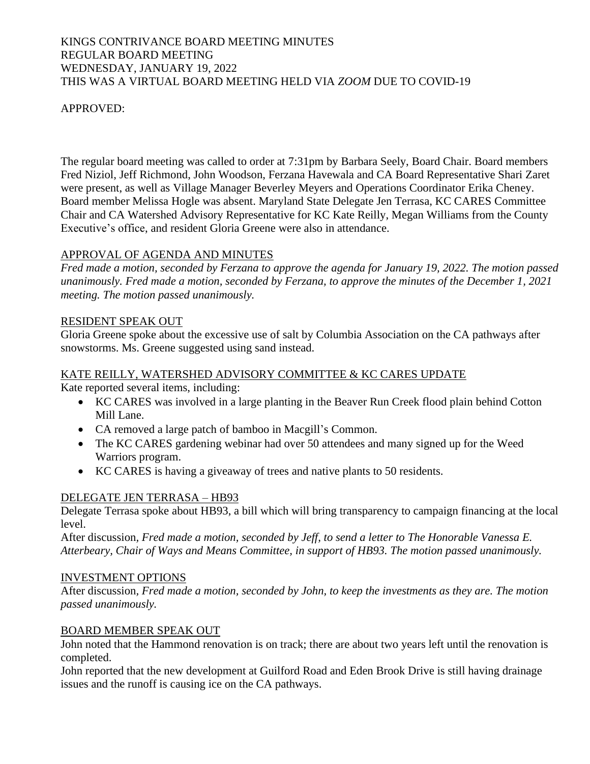### KINGS CONTRIVANCE BOARD MEETING MINUTES REGULAR BOARD MEETING WEDNESDAY, JANUARY 19, 2022 THIS WAS A VIRTUAL BOARD MEETING HELD VIA *ZOOM* DUE TO COVID-19

### APPROVED:

The regular board meeting was called to order at 7:31pm by Barbara Seely, Board Chair. Board members Fred Niziol, Jeff Richmond, John Woodson, Ferzana Havewala and CA Board Representative Shari Zaret were present, as well as Village Manager Beverley Meyers and Operations Coordinator Erika Cheney. Board member Melissa Hogle was absent. Maryland State Delegate Jen Terrasa, KC CARES Committee Chair and CA Watershed Advisory Representative for KC Kate Reilly, Megan Williams from the County Executive's office, and resident Gloria Greene were also in attendance.

## APPROVAL OF AGENDA AND MINUTES

*Fred made a motion, seconded by Ferzana to approve the agenda for January 19, 2022. The motion passed unanimously. Fred made a motion, seconded by Ferzana, to approve the minutes of the December 1, 2021 meeting. The motion passed unanimously.*

## RESIDENT SPEAK OUT

Gloria Greene spoke about the excessive use of salt by Columbia Association on the CA pathways after snowstorms. Ms. Greene suggested using sand instead.

### KATE REILLY, WATERSHED ADVISORY COMMITTEE & KC CARES UPDATE

Kate reported several items, including:

- KC CARES was involved in a large planting in the Beaver Run Creek flood plain behind Cotton Mill Lane.
- CA removed a large patch of bamboo in Macgill's Common.
- The KC CARES gardening webinar had over 50 attendees and many signed up for the Weed Warriors program.
- KC CARES is having a giveaway of trees and native plants to 50 residents.

## DELEGATE JEN TERRASA – HB93

Delegate Terrasa spoke about HB93, a bill which will bring transparency to campaign financing at the local level.

After discussion*, Fred made a motion, seconded by Jeff, to send a letter to The Honorable Vanessa E. Atterbeary, Chair of Ways and Means Committee, in support of HB93. The motion passed unanimously.* 

#### INVESTMENT OPTIONS

After discussion*, Fred made a motion, seconded by John, to keep the investments as they are. The motion passed unanimously.* 

## BOARD MEMBER SPEAK OUT

John noted that the Hammond renovation is on track; there are about two years left until the renovation is completed.

John reported that the new development at Guilford Road and Eden Brook Drive is still having drainage issues and the runoff is causing ice on the CA pathways.